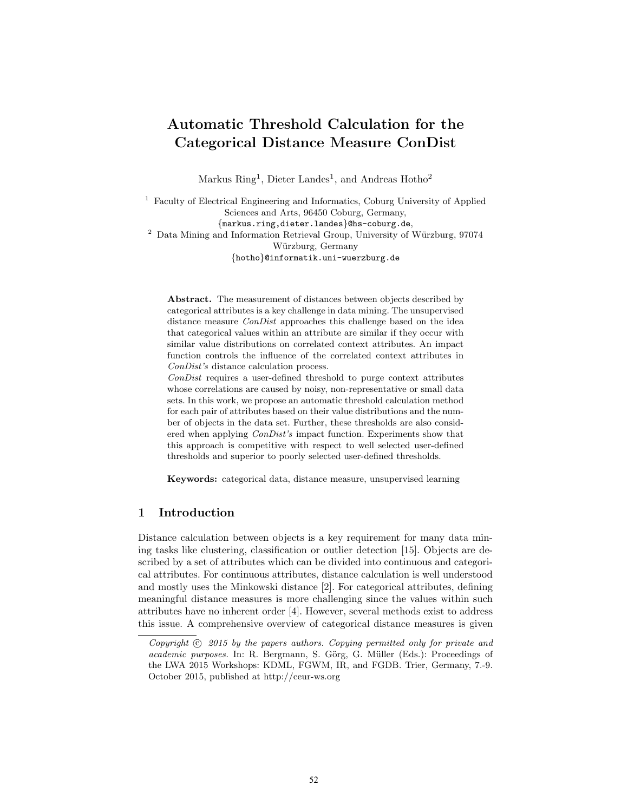# Automatic Threshold Calculation for the Categorical Distance Measure ConDist

Markus  $\text{Ring}^1$ , Dieter Landes<sup>1</sup>, and Andreas Hotho<sup>2</sup>

<sup>1</sup> Faculty of Electrical Engineering and Informatics, Coburg University of Applied Sciences and Arts, 96450 Coburg, Germany, {markus.ring,dieter.landes}@hs-coburg.de, <sup>2</sup> Data Mining and Information Retrieval Group, University of Würzburg,  $97074$ Würzburg, Germany {hotho}@informatik.uni-wuerzburg.de

Abstract. The measurement of distances between objects described by categorical attributes is a key challenge in data mining. The unsupervised distance measure *ConDist* approaches this challenge based on the idea that categorical values within an attribute are similar if they occur with similar value distributions on correlated context attributes. An impact function controls the influence of the correlated context attributes in ConDist's distance calculation process.

ConDist requires a user-defined threshold to purge context attributes whose correlations are caused by noisy, non-representative or small data sets. In this work, we propose an automatic threshold calculation method for each pair of attributes based on their value distributions and the number of objects in the data set. Further, these thresholds are also considered when applying ConDist's impact function. Experiments show that this approach is competitive with respect to well selected user-defined thresholds and superior to poorly selected user-defined thresholds.

Keywords: categorical data, distance measure, unsupervised learning

# 1 Introduction

Distance calculation between objects is a key requirement for many data mining tasks like clustering, classification or outlier detection [\[15\]](#page-11-0). Objects are described by a set of attributes which can be divided into continuous and categorical attributes. For continuous attributes, distance calculation is well understood and mostly uses the Minkowski distance [\[2\]](#page-11-1). For categorical attributes, defining meaningful distance measures is more challenging since the values within such attributes have no inherent order [\[4\]](#page-11-2). However, several methods exist to address this issue. A comprehensive overview of categorical distance measures is given

Copyright  $\odot$  2015 by the papers authors. Copying permitted only for private and academic purposes. In: R. Bergmann, S. Görg, G. Müller (Eds.): Proceedings of the LWA 2015 Workshops: KDML, FGWM, IR, and FGDB. Trier, Germany, 7.-9. October 2015, published at http://ceur-ws.org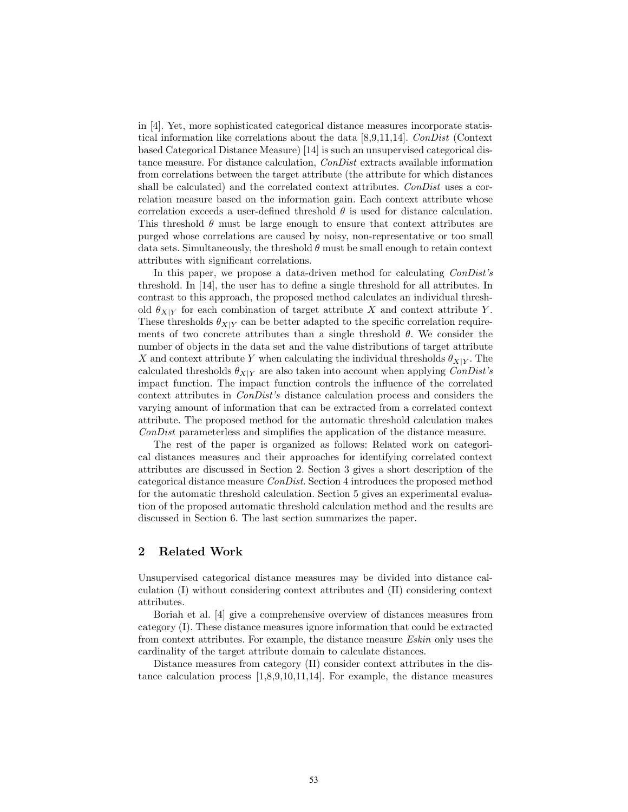in [\[4\]](#page-11-2). Yet, more sophisticated categorical distance measures incorporate statistical information like correlations about the data [\[8,](#page-11-3)[9,](#page-11-4)[11,](#page-11-5)[14\]](#page-11-6). ConDist (Context based Categorical Distance Measure) [\[14\]](#page-11-6) is such an unsupervised categorical distance measure. For distance calculation, ConDist extracts available information from correlations between the target attribute (the attribute for which distances shall be calculated) and the correlated context attributes. ConDist uses a correlation measure based on the information gain. Each context attribute whose correlation exceeds a user-defined threshold  $\theta$  is used for distance calculation. This threshold  $\theta$  must be large enough to ensure that context attributes are purged whose correlations are caused by noisy, non-representative or too small data sets. Simultaneously, the threshold  $\theta$  must be small enough to retain context attributes with significant correlations.

In this paper, we propose a data-driven method for calculating ConDist's threshold. In [\[14\]](#page-11-6), the user has to define a single threshold for all attributes. In contrast to this approach, the proposed method calculates an individual threshold  $\theta_{X|Y}$  for each combination of target attribute X and context attribute Y. These thresholds  $\theta_{X|Y}$  can be better adapted to the specific correlation requirements of two concrete attributes than a single threshold  $\theta$ . We consider the number of objects in the data set and the value distributions of target attribute X and context attribute Y when calculating the individual thresholds  $\theta_{X|Y}$ . The calculated thresholds  $\theta_{X|Y}$  are also taken into account when applying *ConDist's* impact function. The impact function controls the influence of the correlated context attributes in ConDist's distance calculation process and considers the varying amount of information that can be extracted from a correlated context attribute. The proposed method for the automatic threshold calculation makes ConDist parameterless and simplifies the application of the distance measure.

The rest of the paper is organized as follows: Related work on categorical distances measures and their approaches for identifying correlated context attributes are discussed in Section [2.](#page-1-0) Section [3](#page-2-0) gives a short description of the categorical distance measure ConDist. Section [4](#page-4-0) introduces the proposed method for the automatic threshold calculation. Section [5](#page-7-0) gives an experimental evaluation of the proposed automatic threshold calculation method and the results are discussed in Section [6.](#page-9-0) The last section summarizes the paper.

## <span id="page-1-0"></span>2 Related Work

Unsupervised categorical distance measures may be divided into distance calculation (I) without considering context attributes and (II) considering context attributes.

Boriah et al. [\[4\]](#page-11-2) give a comprehensive overview of distances measures from category (I). These distance measures ignore information that could be extracted from context attributes. For example, the distance measure Eskin only uses the cardinality of the target attribute domain to calculate distances.

Distance measures from category (II) consider context attributes in the distance calculation process [\[1](#page-11-7)[,8](#page-11-3)[,9,](#page-11-4)[10,](#page-11-8)[11](#page-11-5)[,14\]](#page-11-6). For example, the distance measures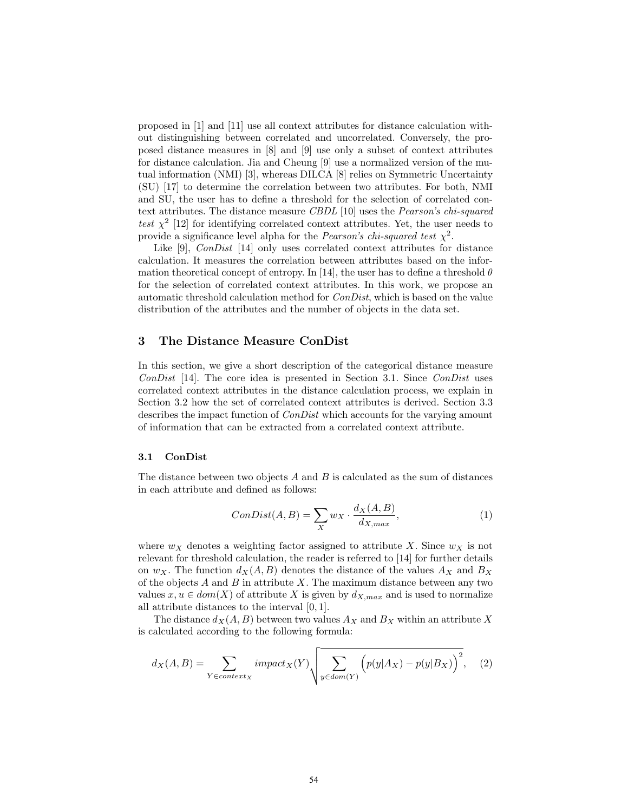proposed in [\[1\]](#page-11-7) and [\[11\]](#page-11-5) use all context attributes for distance calculation without distinguishing between correlated and uncorrelated. Conversely, the proposed distance measures in [\[8\]](#page-11-3) and [\[9\]](#page-11-4) use only a subset of context attributes for distance calculation. Jia and Cheung [\[9\]](#page-11-4) use a normalized version of the mutual information (NMI) [\[3\]](#page-11-9), whereas DILCA [\[8\]](#page-11-3) relies on Symmetric Uncertainty (SU) [\[17\]](#page-11-10) to determine the correlation between two attributes. For both, NMI and SU, the user has to define a threshold for the selection of correlated context attributes. The distance measure CBDL [\[10\]](#page-11-8) uses the Pearson's chi-squared test  $\chi^2$  [\[12\]](#page-11-11) for identifying correlated context attributes. Yet, the user needs to provide a significance level alpha for the *Pearson's chi-squared test*  $\chi^2$ .

Like [\[9\]](#page-11-4), *ConDist* [\[14\]](#page-11-6) only uses correlated context attributes for distance calculation. It measures the correlation between attributes based on the infor-mation theoretical concept of entropy. In [\[14\]](#page-11-6), the user has to define a threshold  $\theta$ for the selection of correlated context attributes. In this work, we propose an automatic threshold calculation method for ConDist, which is based on the value distribution of the attributes and the number of objects in the data set.

# <span id="page-2-0"></span>3 The Distance Measure ConDist

In this section, we give a short description of the categorical distance measure ConDist [\[14\]](#page-11-6). The core idea is presented in Section [3.1.](#page-2-1) Since  $ConDist$  uses correlated context attributes in the distance calculation process, we explain in Section [3.2](#page-3-0) how the set of correlated context attributes is derived. Section [3.3](#page-3-1) describes the impact function of *ConDist* which accounts for the varying amount of information that can be extracted from a correlated context attribute.

#### <span id="page-2-1"></span>3.1 ConDist

The distance between two objects  $A$  and  $B$  is calculated as the sum of distances in each attribute and defined as follows:

$$
ConDist(A, B) = \sum_{X} w_X \cdot \frac{d_X(A, B)}{d_{X, max}},
$$
\n(1)

where  $w_X$  denotes a weighting factor assigned to attribute X. Since  $w_X$  is not relevant for threshold calculation, the reader is referred to [\[14\]](#page-11-6) for further details on  $w_X$ . The function  $d_X(A, B)$  denotes the distance of the values  $A_X$  and  $B_X$ of the objects  $A$  and  $B$  in attribute  $X$ . The maximum distance between any two values  $x, u \in dom(X)$  of attribute X is given by  $d_{X,max}$  and is used to normalize all attribute distances to the interval [0, 1].

The distance  $d_X(A, B)$  between two values  $A_X$  and  $B_X$  within an attribute X is calculated according to the following formula:

$$
d_X(A, B) = \sum_{Y \in context_X} impact_X(Y) \sqrt{\sum_{y \in dom(Y)} (p(y|A_X) - p(y|B_X))}^2, \quad (2)
$$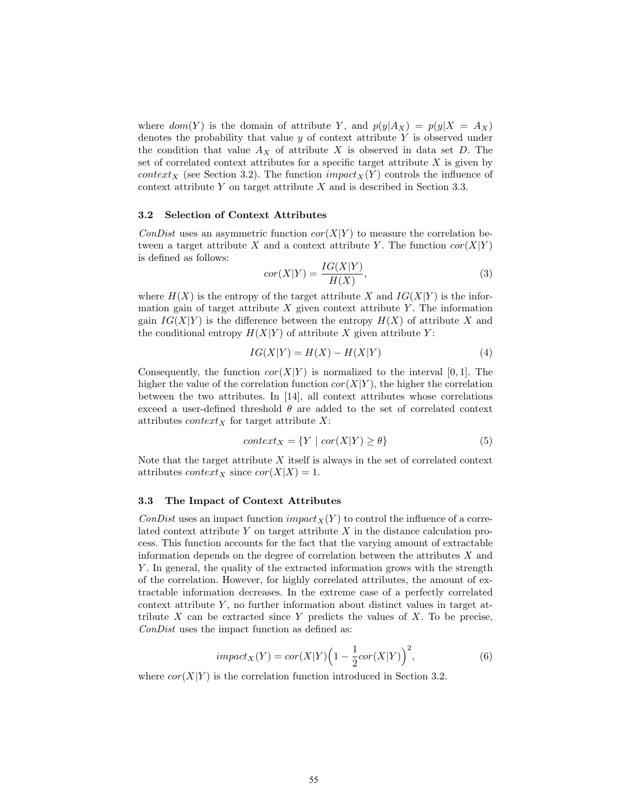where  $dom(Y)$  is the domain of attribute Y, and  $p(y|A_X) = p(y|X = A_X)$ denotes the probability that value  $y$  of context attribute  $Y$  is observed under the condition that value  $A_X$  of attribute X is observed in data set D. The set of correlated context attributes for a specific target attribute  $X$  is given by context<sub>X</sub> (see Section [3.2\)](#page-3-0). The function impact<sub>X</sub>(Y) controls the influence of context attribute  $Y$  on target attribute  $X$  and is described in Section [3.3.](#page-3-1)

#### <span id="page-3-0"></span>3.2 Selection of Context Attributes

ConDist uses an asymmetric function  $cor(X|Y)$  to measure the correlation between a target attribute X and a context attribute Y. The function  $cor(X|Y)$ is defined as follows:

<span id="page-3-2"></span>
$$
cor(X|Y) = \frac{IG(X|Y)}{H(X)},
$$
\n(3)

where  $H(X)$  is the entropy of the target attribute X and  $IG(X|Y)$  is the information gain of target attribute X given context attribute Y. The information gain  $IG(X|Y)$  is the difference between the entropy  $H(X)$  of attribute X and the conditional entropy  $H(X|Y)$  of attribute X given attribute Y:

$$
IG(X|Y) = H(X) - H(X|Y)
$$
\n<sup>(4)</sup>

Consequently, the function  $cor(X|Y)$  is normalized to the interval [0, 1]. The higher the value of the correlation function  $cor(X|Y)$ , the higher the correlation between the two attributes. In [\[14\]](#page-11-6), all context attributes whose correlations exceed a user-defined threshold  $\theta$  are added to the set of correlated context attributes *context* $_X$  for target attribute  $X$ :

$$
context_X = \{ Y \mid cor(X|Y) \ge \theta \}
$$
\n<sup>(5)</sup>

Note that the target attribute  $X$  itself is always in the set of correlated context attributes *context<sub>X</sub>* since  $cor(X|X) = 1$ .

#### <span id="page-3-1"></span>3.3 The Impact of Context Attributes

ConDist uses an impact function impact<sub>X</sub>(Y) to control the influence of a correlated context attribute  $Y$  on target attribute  $X$  in the distance calculation process. This function accounts for the fact that the varying amount of extractable information depends on the degree of correlation between the attributes  $X$  and Y . In general, the quality of the extracted information grows with the strength of the correlation. However, for highly correlated attributes, the amount of extractable information decreases. In the extreme case of a perfectly correlated context attribute  $Y$ , no further information about distinct values in target attribute  $X$  can be extracted since  $Y$  predicts the values of  $X$ . To be precise, ConDist uses the impact function as defined as:

$$
impact_X(Y) = cor(X|Y) \left(1 - \frac{1}{2}cor(X|Y)\right)^2,\tag{6}
$$

where  $cor(X|Y)$  is the correlation function introduced in Section [3.2.](#page-3-0)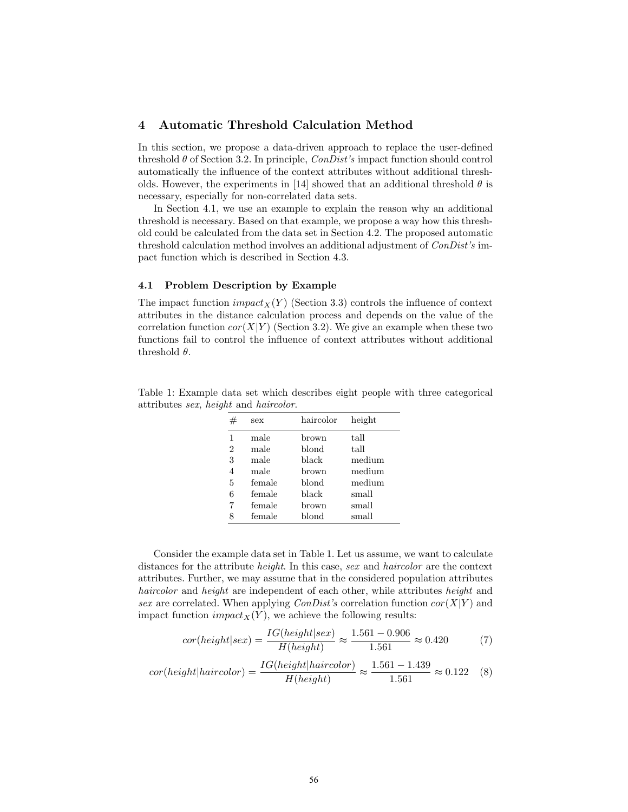# <span id="page-4-0"></span>4 Automatic Threshold Calculation Method

In this section, we propose a data-driven approach to replace the user-defined threshold  $\theta$  of Section [3.2.](#page-3-0) In principle, *ConDist's* impact function should control automatically the influence of the context attributes without additional thresh-olds. However, the experiments in [\[14\]](#page-11-6) showed that an additional threshold  $\theta$  is necessary, especially for non-correlated data sets.

In Section [4.1,](#page-4-1) we use an example to explain the reason why an additional threshold is necessary. Based on that example, we propose a way how this threshold could be calculated from the data set in Section [4.2.](#page-5-0) The proposed automatic threshold calculation method involves an additional adjustment of ConDist's impact function which is described in Section [4.3.](#page-6-0)

## <span id="page-4-1"></span>4.1 Problem Description by Example

The impact function  $\operatorname{impack}_X(Y)$  (Section [3.3\)](#page-3-1) controls the influence of context attributes in the distance calculation process and depends on the value of the correlation function  $cor(X|Y)$  (Section [3.2\)](#page-3-0). We give an example when these two functions fail to control the influence of context attributes without additional threshold  $\theta$ .

<span id="page-4-2"></span>

| Table 1: Example data set which describes eight people with three categorical |  |  |  |  |
|-------------------------------------------------------------------------------|--|--|--|--|
| attributes <i>sex</i> , <i>height</i> and <i>haircolor</i> .                  |  |  |  |  |

| #              | sex    | haircolor | height |
|----------------|--------|-----------|--------|
| 1              | male   | brown     | tall   |
| $\overline{2}$ | male   | blond     | tall   |
| 3              | male   | black     | medium |
| 4              | male   | brown     | medium |
| 5              | female | blond     | medium |
| 6              | female | black     | small  |
| 7              | female | brown     | small  |
| 8              | female | blond     | small  |

Consider the example data set in Table [1.](#page-4-2) Let us assume, we want to calculate distances for the attribute *height*. In this case, sex and *haircolor* are the context attributes. Further, we may assume that in the considered population attributes haircolor and height are independent of each other, while attributes height and sex are correlated. When applying *ConDist's* correlation function  $cor(X|Y)$  and impact function  $impact_X(Y)$ , we achieve the following results:

<span id="page-4-3"></span>
$$
cor(height|sex) = \frac{IG(height|sex)}{H(height)} \approx \frac{1.561 - 0.906}{1.561} \approx 0.420\tag{7}
$$

<span id="page-4-4"></span>
$$
cor(height|haircolor) = \frac{IG(height|haircolor)}{H(height)} \approx \frac{1.561 - 1.439}{1.561} \approx 0.122
$$
 (8)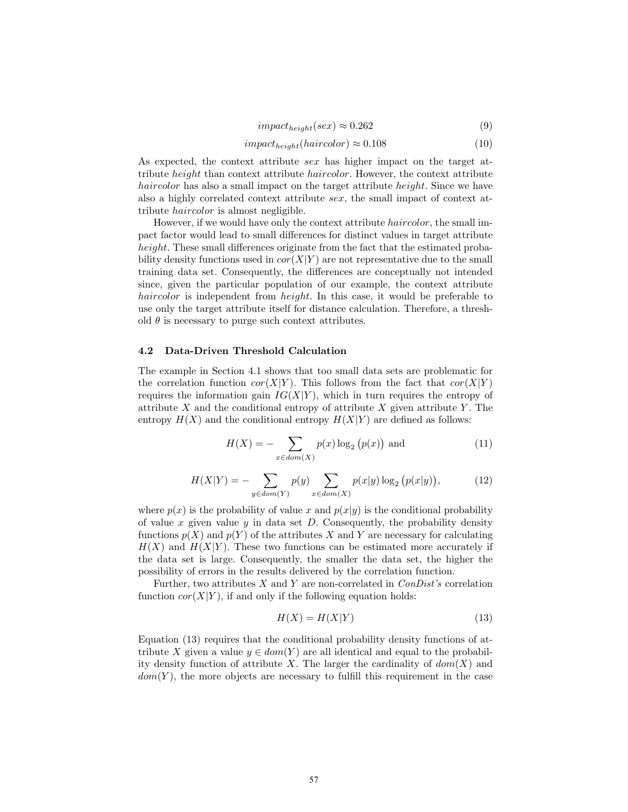$$
impact_{height}(sex) \approx 0.262\tag{9}
$$

$$
impact_{height}(haircolor) \approx 0.108 \tag{10}
$$

As expected, the context attribute sex has higher impact on the target attribute height than context attribute haircolor. However, the context attribute haircolor has also a small impact on the target attribute *height*. Since we have also a highly correlated context attribute sex, the small impact of context attribute haircolor is almost negligible.

However, if we would have only the context attribute haircolor, the small impact factor would lead to small differences for distinct values in target attribute height. These small differences originate from the fact that the estimated probability density functions used in  $cor(X|Y)$  are not representative due to the small training data set. Consequently, the differences are conceptually not intended since, given the particular population of our example, the context attribute haircolor is independent from *height*. In this case, it would be preferable to use only the target attribute itself for distance calculation. Therefore, a threshold  $\theta$  is necessary to purge such context attributes.

## <span id="page-5-0"></span>4.2 Data-Driven Threshold Calculation

The example in Section [4.1](#page-4-1) shows that too small data sets are problematic for the correlation function  $cor(X|Y)$ . This follows from the fact that  $cor(X|Y)$ requires the information gain  $IG(X|Y)$ , which in turn requires the entropy of attribute X and the conditional entropy of attribute X given attribute Y. The entropy  $H(X)$  and the conditional entropy  $H(X|Y)$  are defined as follows:

$$
H(X) = -\sum_{x \in dom(X)} p(x) \log_2 (p(x))
$$
 and (11)

$$
H(X|Y) = -\sum_{y \in dom(Y)} p(y) \sum_{x \in dom(X)} p(x|y) \log_2 (p(x|y)),
$$
 (12)

where  $p(x)$  is the probability of value x and  $p(x|y)$  is the conditional probability of value  $x$  given value  $y$  in data set  $D$ . Consequently, the probability density functions  $p(X)$  and  $p(Y)$  of the attributes X and Y are necessary for calculating  $H(X)$  and  $H(X|Y)$ . These two functions can be estimated more accurately if the data set is large. Consequently, the smaller the data set, the higher the possibility of errors in the results delivered by the correlation function.

Further, two attributes  $X$  and  $Y$  are non-correlated in  $ConDist's$  correlation function  $cor(X|Y)$ , if and only if the following equation holds:

<span id="page-5-1"></span>
$$
H(X) = H(X|Y) \tag{13}
$$

Equation [\(13\)](#page-5-1) requires that the conditional probability density functions of attribute X given a value  $y \in dom(Y)$  are all identical and equal to the probability density function of attribute X. The larger the cardinality of  $dom(X)$  and  $dom(Y)$ , the more objects are necessary to fulfill this requirement in the case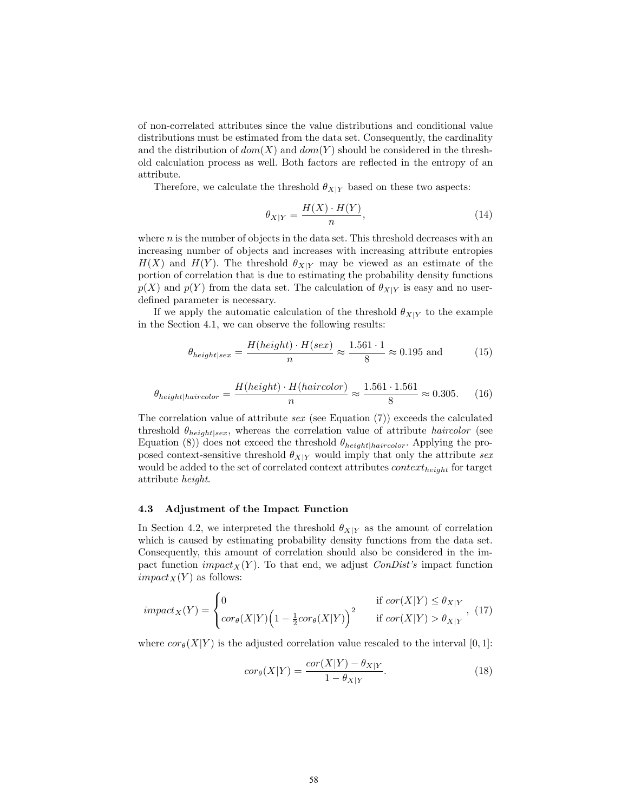of non-correlated attributes since the value distributions and conditional value distributions must be estimated from the data set. Consequently, the cardinality and the distribution of  $dom(X)$  and  $dom(Y)$  should be considered in the threshold calculation process as well. Both factors are reflected in the entropy of an attribute.

Therefore, we calculate the threshold  $\theta_{X|Y}$  based on these two aspects:

$$
\theta_{X|Y} = \frac{H(X) \cdot H(Y)}{n},\tag{14}
$$

where  $n$  is the number of objects in the data set. This threshold decreases with an increasing number of objects and increases with increasing attribute entropies  $H(X)$  and  $H(Y)$ . The threshold  $\theta_{X|Y}$  may be viewed as an estimate of the portion of correlation that is due to estimating the probability density functions  $p(X)$  and  $p(Y)$  from the data set. The calculation of  $\theta_{X|Y}$  is easy and no userdefined parameter is necessary.

If we apply the automatic calculation of the threshold  $\theta_{X|Y}$  to the example in the Section [4.1,](#page-4-1) we can observe the following results:

$$
\theta_{height|sex} = \frac{H(height) \cdot H(sex)}{n} \approx \frac{1.561 \cdot 1}{8} \approx 0.195 \text{ and}
$$
 (15)

$$
\theta_{height|haircolor} = \frac{H(height) \cdot H(haircolor)}{0.2000} \approx \frac{1.561 \cdot 1.561}{8} \approx 0.305. \tag{16}
$$

The correlation value of attribute  $sex$  (see Equation  $(7)$ ) exceeds the calculated threshold  $\theta_{height|sex}$ , whereas the correlation value of attribute *haircolor* (see Equation [\(8\)](#page-4-4)) does not exceed the threshold  $\theta_{height|haircolor}$ . Applying the proposed context-sensitive threshold  $\theta_{X|Y}$  would imply that only the attribute sex would be added to the set of correlated context attributes  $context_{height}$  for target attribute height.

#### <span id="page-6-0"></span>4.3 Adjustment of the Impact Function

In Section [4.2,](#page-5-0) we interpreted the threshold  $\theta_{X|Y}$  as the amount of correlation which is caused by estimating probability density functions from the data set. Consequently, this amount of correlation should also be considered in the impact function *impact*<sub>X</sub>(Y). To that end, we adjust *ConDist's* impact function  $impact_X(Y)$  as follows:

$$
impact_X(Y) = \begin{cases} 0 & \text{if } cor(X|Y) \le \theta_{X|Y} \\ cor_\theta(X|Y) \Big(1 - \frac{1}{2}cor_\theta(X|Y)\Big)^2 & \text{if } cor(X|Y) > \theta_{X|Y} \end{cases}, (17)
$$

where  $cor_{\theta}(X|Y)$  is the adjusted correlation value rescaled to the interval [0, 1]:

$$
cor_{\theta}(X|Y) = \frac{cor(X|Y) - \theta_{X|Y}}{1 - \theta_{X|Y}}.\tag{18}
$$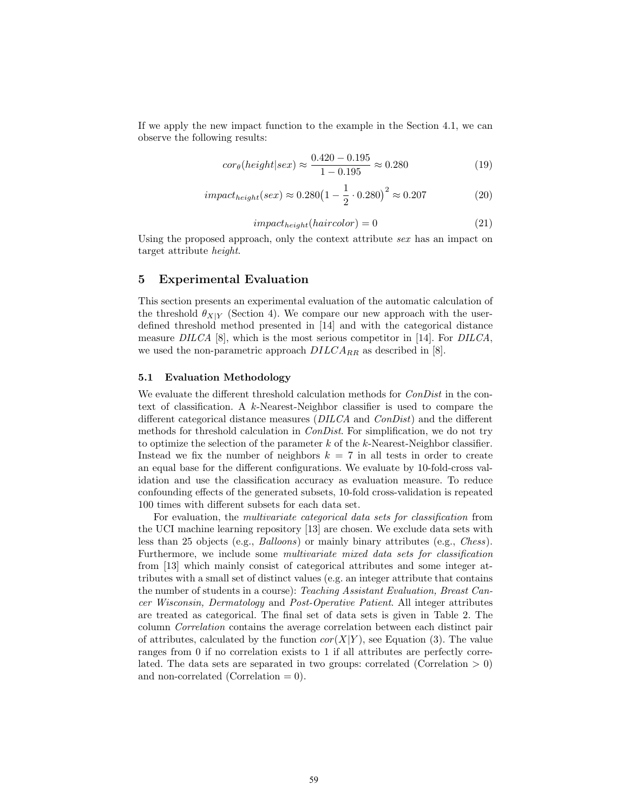If we apply the new impact function to the example in the Section [4.1,](#page-4-1) we can observe the following results:

$$
cor_{\theta}(height|sex) \approx \frac{0.420 - 0.195}{1 - 0.195} \approx 0.280
$$
\n(19)

$$
impact_{height}(sex) \approx 0.280 \left(1 - \frac{1}{2} \cdot 0.280\right)^2 \approx 0.207\tag{20}
$$

$$
impact_{height}(haircolor) = 0
$$
\n(21)

Using the proposed approach, only the context attribute sex has an impact on target attribute height.

## <span id="page-7-0"></span>5 Experimental Evaluation

This section presents an experimental evaluation of the automatic calculation of the threshold  $\theta_{X|Y}$  (Section [4\)](#page-4-0). We compare our new approach with the userdefined threshold method presented in [\[14\]](#page-11-6) and with the categorical distance measure DILCA [\[8\]](#page-11-3), which is the most serious competitor in [\[14\]](#page-11-6). For DILCA, we used the non-parametric approach  $DILCA_{RR}$  as described in [\[8\]](#page-11-3).

### 5.1 Evaluation Methodology

We evaluate the different threshold calculation methods for  $ConDist$  in the context of classification. A k-Nearest-Neighbor classifier is used to compare the different categorical distance measures (DILCA and ConDist) and the different methods for threshold calculation in ConDist. For simplification, we do not try to optimize the selection of the parameter  $k$  of the  $k$ -Nearest-Neighbor classifier. Instead we fix the number of neighbors  $k = 7$  in all tests in order to create an equal base for the different configurations. We evaluate by 10-fold-cross validation and use the classification accuracy as evaluation measure. To reduce confounding effects of the generated subsets, 10-fold cross-validation is repeated 100 times with different subsets for each data set.

For evaluation, the multivariate categorical data sets for classification from the UCI machine learning repository [\[13\]](#page-11-12) are chosen. We exclude data sets with less than 25 objects (e.g., Balloons) or mainly binary attributes (e.g., Chess). Furthermore, we include some multivariate mixed data sets for classification from [\[13\]](#page-11-12) which mainly consist of categorical attributes and some integer attributes with a small set of distinct values (e.g. an integer attribute that contains the number of students in a course): Teaching Assistant Evaluation, Breast Cancer Wisconsin, Dermatology and Post-Operative Patient. All integer attributes are treated as categorical. The final set of data sets is given in Table [2.](#page-8-0) The column Correlation contains the average correlation between each distinct pair of attributes, calculated by the function  $cor(X|Y)$ , see Equation [\(3\)](#page-3-2). The value ranges from 0 if no correlation exists to 1 if all attributes are perfectly correlated. The data sets are separated in two groups: correlated (Correlation  $> 0$ ) and non-correlated (Correlation  $= 0$ ).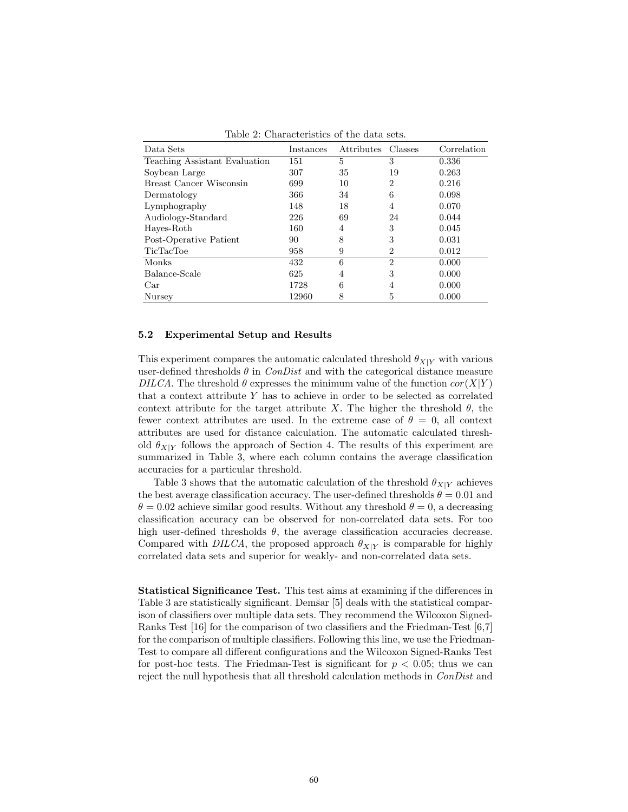<span id="page-8-0"></span>

| Data Sets                     | Instances | Attributes | Classes        | Correlation |
|-------------------------------|-----------|------------|----------------|-------------|
| Teaching Assistant Evaluation | 151       | 5          | 3              | 0.336       |
| Soybean Large                 | 307       | 35         | 19             | 0.263       |
| Breast Cancer Wisconsin       | 699       | 10         | $\overline{2}$ | 0.216       |
| Dermatology                   | 366       | 34         | 6              | 0.098       |
| Lymphography                  | 148       | 18         | 4              | 0.070       |
| Audiology-Standard            | 226       | 69         | 24             | 0.044       |
| Hayes-Roth                    | 160       | 4          | 3              | 0.045       |
| Post-Operative Patient        | 90        | 8          | 3              | 0.031       |
| <b>TicTacToe</b>              | 958       | 9          | 2              | 0.012       |
| Monks                         | 432       | 6          | $\overline{2}$ | 0.000       |
| Balance-Scale                 | 625       | 4          | 3              | 0.000       |
| Car                           | 1728      | 6          | 4              | 0.000       |
| Nursey                        | 12960     | 8          | 5              | 0.000       |

Table 2: Characteristics of the data sets.

#### 5.2 Experimental Setup and Results

This experiment compares the automatic calculated threshold  $\theta_{X|Y}$  with various user-defined thresholds  $\theta$  in *ConDist* and with the categorical distance measure DILCA. The threshold  $\theta$  expresses the minimum value of the function  $cor(X|Y)$ that a context attribute Y has to achieve in order to be selected as correlated context attribute for the target attribute X. The higher the threshold  $\theta$ , the fewer context attributes are used. In the extreme case of  $\theta = 0$ , all context attributes are used for distance calculation. The automatic calculated threshold  $\theta_{X|Y}$  follows the approach of Section [4.](#page-4-0) The results of this experiment are summarized in Table [3,](#page-9-1) where each column contains the average classification accuracies for a particular threshold.

Table [3](#page-9-1) shows that the automatic calculation of the threshold  $\theta_{X|Y}$  achieves the best average classification accuracy. The user-defined thresholds  $\theta = 0.01$  and  $\theta = 0.02$  achieve similar good results. Without any threshold  $\theta = 0$ , a decreasing classification accuracy can be observed for non-correlated data sets. For too high user-defined thresholds  $\theta$ , the average classification accuracies decrease. Compared with DILCA, the proposed approach  $\theta_{X|Y}$  is comparable for highly correlated data sets and superior for weakly- and non-correlated data sets.

Statistical Significance Test. This test aims at examining if the differences in Table [3](#page-9-1) are statistically significant. Demšar [\[5\]](#page-11-13) deals with the statistical comparison of classifiers over multiple data sets. They recommend the Wilcoxon Signed-Ranks Test [\[16\]](#page-11-14) for the comparison of two classifiers and the Friedman-Test [\[6,](#page-11-15)[7\]](#page-11-16) for the comparison of multiple classifiers. Following this line, we use the Friedman-Test to compare all different configurations and the Wilcoxon Signed-Ranks Test for post-hoc tests. The Friedman-Test is significant for  $p < 0.05$ ; thus we can reject the null hypothesis that all threshold calculation methods in ConDist and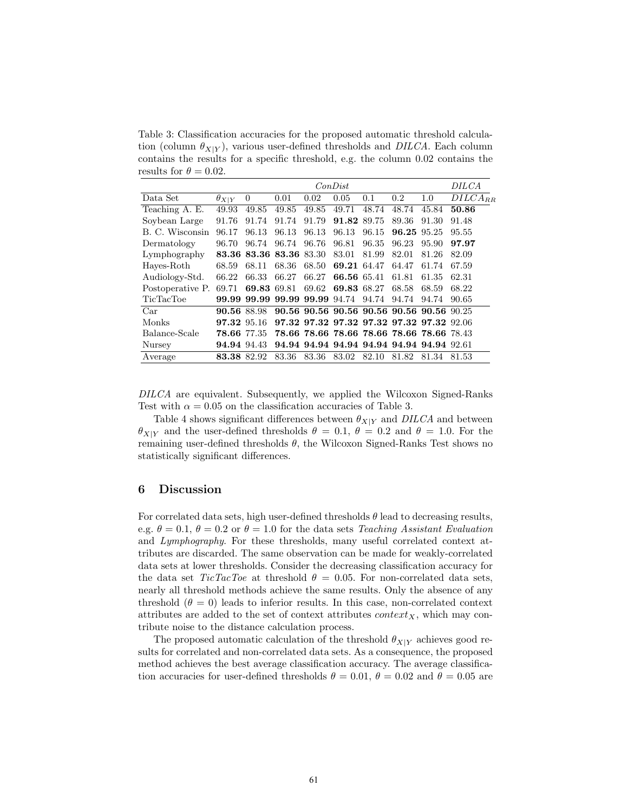<span id="page-9-1"></span>Table 3: Classification accuracies for the proposed automatic threshold calculation (column  $\theta_{X|Y}$ ), various user-defined thresholds and *DILCA*. Each column contains the results for a specific threshold, e.g. the column 0.02 contains the results for  $\theta = 0.02$ .

|                  | ConDist        |                         |       |                   |             |                                           |             | DILCA |              |
|------------------|----------------|-------------------------|-------|-------------------|-------------|-------------------------------------------|-------------|-------|--------------|
| Data Set         | $\theta_{X Y}$ | $\Omega$                | 0.01  | 0.02              | 0.05        | 0.1                                       | 0.2         | 1.0   | $DILCA_{RR}$ |
| Teaching A. E.   | 49.93          | 49.85                   | 49.85 | 49.85             | 49.71       | 48.74                                     | 48.74       | 45.84 | 50.86        |
| Soybean Large    | 91.76          | 91.74                   | 91.74 | 91.79             | 91.82       | 89.75                                     | 89.36       | 91.30 | 91.48        |
| B. C. Wisconsin  | 96.17          | 96.13                   | 96.13 | 96.13             | 96.13       | 96.15                                     | 96.25 95.25 |       | 95.55        |
| Dermatology      | 96.70          | 96.74                   | 96.74 | 96.76             | 96.81       | 96.35                                     | 96.23       | 95.90 | 97.97        |
| Lymphography     |                | 83.36 83.36 83.36 83.30 |       |                   | 83.01       | 81.99                                     | 82.01       | 81.26 | 82.09        |
| Haves-Roth       | 68.59          | 68.11                   | 68.36 | 68.50             | 69.21 64.47 |                                           | 64.47       | 61.74 | 67.59        |
| Audiology-Std.   | 66.22          | 66.33                   | 66.27 | 66.27             | 66.56 65.41 |                                           | 61.81       | 61.35 | 62.31        |
| Postoperative P. | 69.71          | 69.83                   | 69.81 | 69.62             | 69.83 68.27 |                                           | 68.58       | 68.59 | 68.22        |
| TicTacToe        |                | 99.99 99.99             |       | 99.99 99.99 94.74 |             | 94.74                                     | 94.74       | 94.74 | 90.65        |
| Car              | 90.56 88.98    |                         |       |                   |             | 90.56 90.56 90.56 90.56 90.56 90.56 90.25 |             |       |              |
| Monks            | 97.32 95.16    |                         |       |                   |             | 97.32 97.32 97.32 97.32 97.32 97.32 92.06 |             |       |              |
| Balance-Scale    | 78.66 77.35    |                         |       |                   |             | 78.66 78.66 78.66 78.66 78.66 78.66 78.43 |             |       |              |
| Nursey           | 94.94 94.43    |                         |       |                   |             | 94.94 94.94 94.94 94.94 94.94 94.94 92.61 |             |       |              |
| Average          | 83.38          | 82.92                   | 83.36 | 83.36             | 83.02       | 82.10                                     | 81.82       | 81.34 | 81.53        |

DILCA are equivalent. Subsequently, we applied the Wilcoxon Signed-Ranks Test with  $\alpha = 0.05$  on the classification accuracies of Table [3.](#page-9-1)

Table [4](#page-10-0) shows significant differences between  $\theta_{X|Y}$  and DILCA and between  $\theta_{X|Y}$  and the user-defined thresholds  $\theta = 0.1, \theta = 0.2$  and  $\theta = 1.0$ . For the remaining user-defined thresholds  $\theta$ , the Wilcoxon Signed-Ranks Test shows no statistically significant differences.

## <span id="page-9-0"></span>6 Discussion

For correlated data sets, high user-defined thresholds  $\theta$  lead to decreasing results, e.g.  $\theta = 0.1, \theta = 0.2$  or  $\theta = 1.0$  for the data sets Teaching Assistant Evaluation and Lymphography. For these thresholds, many useful correlated context attributes are discarded. The same observation can be made for weakly-correlated data sets at lower thresholds. Consider the decreasing classification accuracy for the data set  $TicTacToe$  at threshold  $\theta = 0.05$ . For non-correlated data sets, nearly all threshold methods achieve the same results. Only the absence of any threshold  $(\theta = 0)$  leads to inferior results. In this case, non-correlated context attributes are added to the set of context attributes  $context_X$ , which may contribute noise to the distance calculation process.

The proposed automatic calculation of the threshold  $\theta_{X|Y}$  achieves good results for correlated and non-correlated data sets. As a consequence, the proposed method achieves the best average classification accuracy. The average classification accuracies for user-defined thresholds  $\theta = 0.01$ ,  $\theta = 0.02$  and  $\theta = 0.05$  are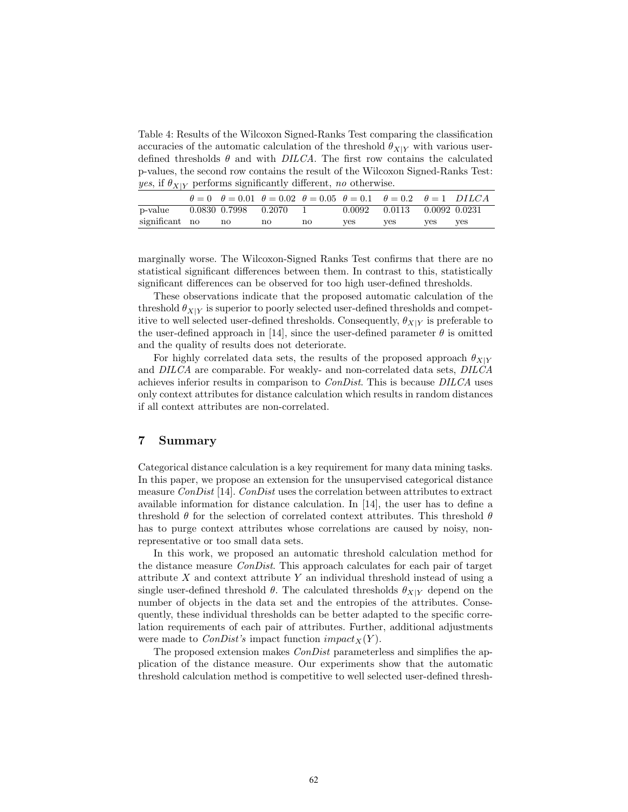<span id="page-10-0"></span>Table 4: Results of the Wilcoxon Signed-Ranks Test comparing the classification accuracies of the automatic calculation of the threshold  $\theta_{X|Y}$  with various userdefined thresholds  $\theta$  and with DILCA. The first row contains the calculated p-values, the second row contains the result of the Wilcoxon Signed-Ranks Test: *yes*, if  $\theta_{X|Y}$  performs significantly different, no otherwise.

|                |                            | $\theta = 0$ $\theta = 0.01$ $\theta = 0.02$ $\theta = 0.05$ $\theta = 0.1$ $\theta = 0.2$ $\theta = 1$ DILCA |    |        |                            |     |     |
|----------------|----------------------------|---------------------------------------------------------------------------------------------------------------|----|--------|----------------------------|-----|-----|
| p-value        | $0.0830$ $0.7998$ $0.2070$ |                                                                                                               |    | 0.0092 | $0.0113$ $0.0092$ $0.0231$ |     |     |
| significant no | no                         | no                                                                                                            | no | ves    | ves                        | ves | ves |

marginally worse. The Wilcoxon-Signed Ranks Test confirms that there are no statistical significant differences between them. In contrast to this, statistically significant differences can be observed for too high user-defined thresholds.

These observations indicate that the proposed automatic calculation of the threshold  $\theta_{X|Y}$  is superior to poorly selected user-defined thresholds and competitive to well selected user-defined thresholds. Consequently,  $\theta_{X|Y}$  is preferable to the user-defined approach in [\[14\]](#page-11-6), since the user-defined parameter  $\theta$  is omitted and the quality of results does not deteriorate.

For highly correlated data sets, the results of the proposed approach  $\theta_{X|Y}$ and DILCA are comparable. For weakly- and non-correlated data sets, DILCA achieves inferior results in comparison to ConDist. This is because DILCA uses only context attributes for distance calculation which results in random distances if all context attributes are non-correlated.

# 7 Summary

Categorical distance calculation is a key requirement for many data mining tasks. In this paper, we propose an extension for the unsupervised categorical distance measure ConDist [\[14\]](#page-11-6). ConDist uses the correlation between attributes to extract available information for distance calculation. In [\[14\]](#page-11-6), the user has to define a threshold  $\theta$  for the selection of correlated context attributes. This threshold  $\theta$ has to purge context attributes whose correlations are caused by noisy, nonrepresentative or too small data sets.

In this work, we proposed an automatic threshold calculation method for the distance measure ConDist. This approach calculates for each pair of target attribute X and context attribute Y an individual threshold instead of using a single user-defined threshold  $\theta$ . The calculated thresholds  $\theta_{X|Y}$  depend on the number of objects in the data set and the entropies of the attributes. Consequently, these individual thresholds can be better adapted to the specific correlation requirements of each pair of attributes. Further, additional adjustments were made to *ConDist's* impact function  $impact_X(Y)$ .

The proposed extension makes *ConDist* parameterless and simplifies the application of the distance measure. Our experiments show that the automatic threshold calculation method is competitive to well selected user-defined thresh